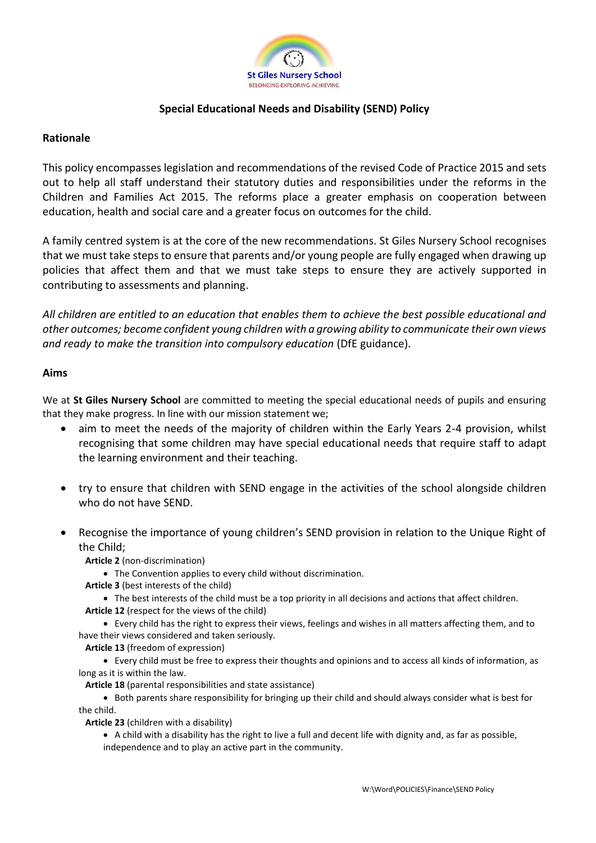

# **Special Educational Needs and Disability (SEND) Policy**

### **Rationale**

This policy encompasses legislation and recommendations of the revised Code of Practice 2015 and sets out to help all staff understand their statutory duties and responsibilities under the reforms in the Children and Families Act 2015. The reforms place a greater emphasis on cooperation between education, health and social care and a greater focus on outcomes for the child.

A family centred system is at the core of the new recommendations. St Giles Nursery School recognises that we must take steps to ensure that parents and/or young people are fully engaged when drawing up policies that affect them and that we must take steps to ensure they are actively supported in contributing to assessments and planning.

*All children are entitled to an education that enables them to achieve the best possible educational and other outcomes; become confident young children with a growing ability to communicate their own views and ready to make the transition into compulsory education* (DfE guidance).

### **Aims**

We at **St Giles Nursery School** are committed to meeting the special educational needs of pupils and ensuring that they make progress. In line with our mission statement we;

- aim to meet the needs of the majority of children within the Early Years 2-4 provision, whilst recognising that some children may have special educational needs that require staff to adapt the learning environment and their teaching.
- try to ensure that children with SEND engage in the activities of the school alongside children who do not have SEND.
- Recognise the importance of young children's SEND provision in relation to the Unique Right of the Child;

**Article 2** (non-discrimination)

- The Convention applies to every child without discrimination.
- **Article 3** (best interests of the child)
	- The best interests of the child must be a top priority in all decisions and actions that affect children.
- **Article 12** (respect for the views of the child)
- Every child has the right to express their views, feelings and wishes in all matters affecting them, and to have their views considered and taken seriously.
	- **Article 13** (freedom of expression)
- Every child must be free to express their thoughts and opinions and to access all kinds of information, as long as it is within the law.

**Article 18** (parental responsibilities and state assistance)

• Both parents share responsibility for bringing up their child and should always consider what is best for the child.

**Article 23** (children with a disability)

• A child with a disability has the right to live a full and decent life with dignity and, as far as possible, independence and to play an active part in the community.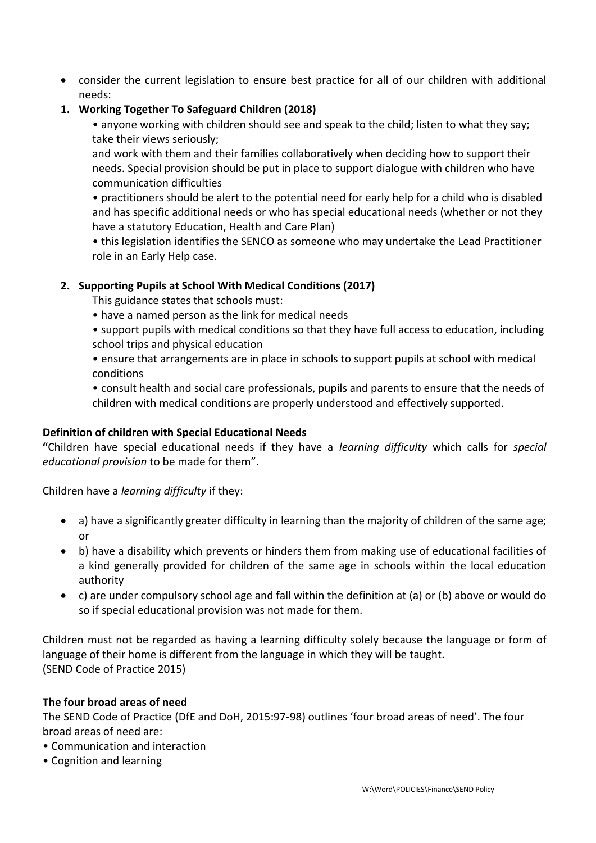- consider the current legislation to ensure best practice for all of our children with additional needs:
- **1. Working Together To Safeguard Children (2018)**
	- anyone working with children should see and speak to the child; listen to what they say; take their views seriously;

and work with them and their families collaboratively when deciding how to support their needs. Special provision should be put in place to support dialogue with children who have communication difficulties

• practitioners should be alert to the potential need for early help for a child who is disabled and has specific additional needs or who has special educational needs (whether or not they have a statutory Education, Health and Care Plan)

• this legislation identifies the SENCO as someone who may undertake the Lead Practitioner role in an Early Help case.

# **2. Supporting Pupils at School With Medical Conditions (2017)**

This guidance states that schools must:

- have a named person as the link for medical needs
- support pupils with medical conditions so that they have full access to education, including school trips and physical education
- ensure that arrangements are in place in schools to support pupils at school with medical conditions
- consult health and social care professionals, pupils and parents to ensure that the needs of children with medical conditions are properly understood and effectively supported.

# **Definition of children with Special Educational Needs**

**"**Children have special educational needs if they have a *learning difficulty* which calls for *special educational provision* to be made for them".

Children have a *learning difficulty* if they:

- a) have a significantly greater difficulty in learning than the majority of children of the same age; or
- b) have a disability which prevents or hinders them from making use of educational facilities of a kind generally provided for children of the same age in schools within the local education authority
- c) are under compulsory school age and fall within the definition at (a) or (b) above or would do so if special educational provision was not made for them.

Children must not be regarded as having a learning difficulty solely because the language or form of language of their home is different from the language in which they will be taught. (SEND Code of Practice 2015)

# **The four broad areas of need**

The SEND Code of Practice (DfE and DoH, 2015:97-98) outlines 'four broad areas of need'. The four broad areas of need are:

- Communication and interaction
- Cognition and learning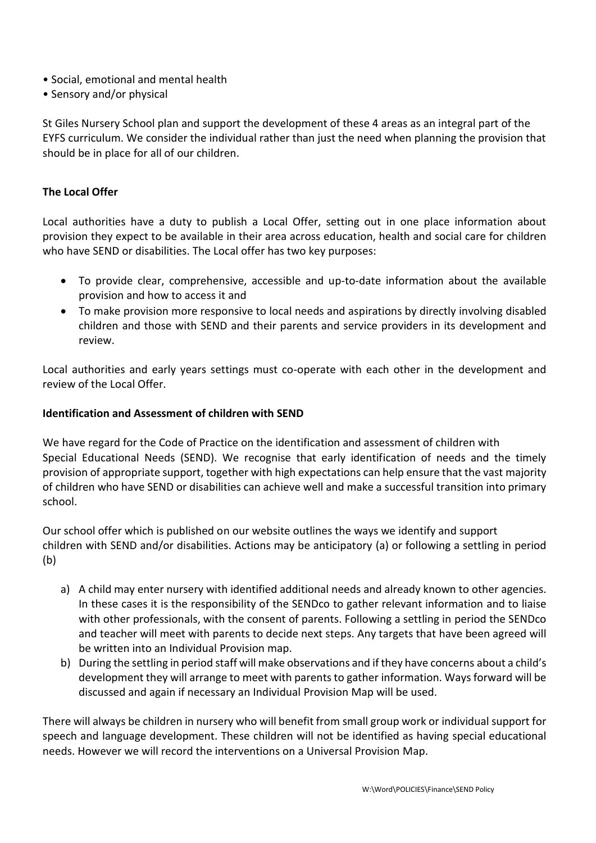- Social, emotional and mental health
- Sensory and/or physical

St Giles Nursery School plan and support the development of these 4 areas as an integral part of the EYFS curriculum. We consider the individual rather than just the need when planning the provision that should be in place for all of our children.

# **The Local Offer**

Local authorities have a duty to publish a Local Offer, setting out in one place information about provision they expect to be available in their area across education, health and social care for children who have SEND or disabilities. The Local offer has two key purposes:

- To provide clear, comprehensive, accessible and up-to-date information about the available provision and how to access it and
- To make provision more responsive to local needs and aspirations by directly involving disabled children and those with SEND and their parents and service providers in its development and review.

Local authorities and early years settings must co-operate with each other in the development and review of the Local Offer.

### **Identification and Assessment of children with SEND**

We have regard for the Code of Practice on the identification and assessment of children with Special Educational Needs (SEND). We recognise that early identification of needs and the timely provision of appropriate support, together with high expectations can help ensure that the vast majority of children who have SEND or disabilities can achieve well and make a successful transition into primary school.

Our school offer which is published on our website outlines the ways we identify and support children with SEND and/or disabilities. Actions may be anticipatory (a) or following a settling in period (b)

- a) A child may enter nursery with identified additional needs and already known to other agencies. In these cases it is the responsibility of the SENDco to gather relevant information and to liaise with other professionals, with the consent of parents. Following a settling in period the SENDco and teacher will meet with parents to decide next steps. Any targets that have been agreed will be written into an Individual Provision map.
- b) During the settling in period staff will make observations and if they have concerns about a child's development they will arrange to meet with parents to gather information. Ways forward will be discussed and again if necessary an Individual Provision Map will be used.

There will always be children in nursery who will benefit from small group work or individual support for speech and language development. These children will not be identified as having special educational needs. However we will record the interventions on a Universal Provision Map.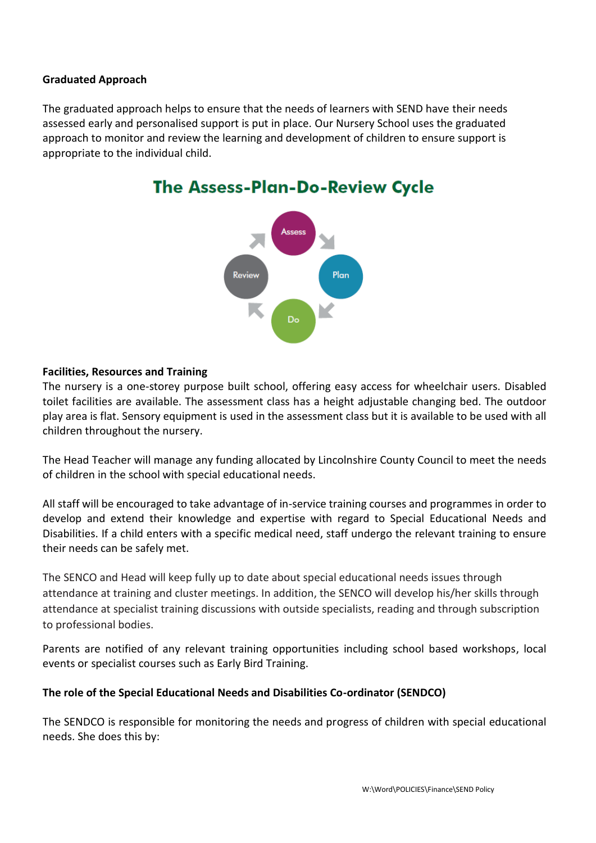# **Graduated Approach**

The graduated approach helps to ensure that the needs of learners with SEND have their needs assessed early and personalised support is put in place. Our Nursery School uses the graduated approach to monitor and review the learning and development of children to ensure support is appropriate to the individual child.



# The Assess-Plan-Do-Review Cycle

#### **Facilities, Resources and Training**

The nursery is a one-storey purpose built school, offering easy access for wheelchair users. Disabled toilet facilities are available. The assessment class has a height adjustable changing bed. The outdoor play area is flat. Sensory equipment is used in the assessment class but it is available to be used with all children throughout the nursery.

The Head Teacher will manage any funding allocated by Lincolnshire County Council to meet the needs of children in the school with special educational needs.

All staff will be encouraged to take advantage of in-service training courses and programmes in order to develop and extend their knowledge and expertise with regard to Special Educational Needs and Disabilities. If a child enters with a specific medical need, staff undergo the relevant training to ensure their needs can be safely met.

The SENCO and Head will keep fully up to date about special educational needs issues through attendance at training and cluster meetings. In addition, the SENCO will develop his/her skills through attendance at specialist training discussions with outside specialists, reading and through subscription to professional bodies.

Parents are notified of any relevant training opportunities including school based workshops, local events or specialist courses such as Early Bird Training.

### **The role of the Special Educational Needs and Disabilities Co-ordinator (SENDCO)**

The SENDCO is responsible for monitoring the needs and progress of children with special educational needs. She does this by: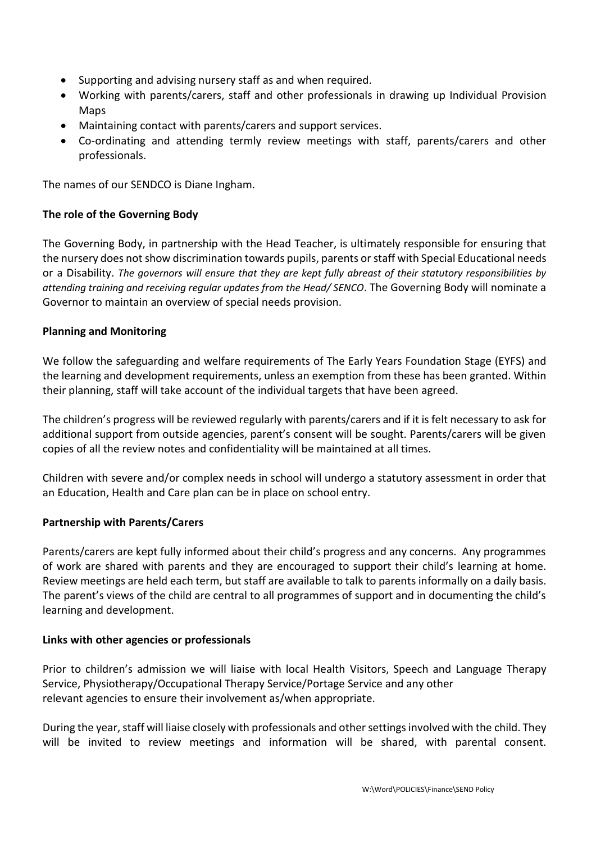- Supporting and advising nursery staff as and when required.
- Working with parents/carers, staff and other professionals in drawing up Individual Provision Maps
- Maintaining contact with parents/carers and support services.
- Co-ordinating and attending termly review meetings with staff, parents/carers and other professionals.

The names of our SENDCO is Diane Ingham.

# **The role of the Governing Body**

The Governing Body, in partnership with the Head Teacher, is ultimately responsible for ensuring that the nursery does not show discrimination towards pupils, parents or staff with Special Educational needs or a Disability. *The governors will ensure that they are kept fully abreast of their statutory responsibilities by attending training and receiving regular updates from the Head/ SENCO*. The Governing Body will nominate a Governor to maintain an overview of special needs provision.

# **Planning and Monitoring**

We follow the safeguarding and welfare requirements of The Early Years Foundation Stage (EYFS) and the learning and development requirements, unless an exemption from these has been granted. Within their planning, staff will take account of the individual targets that have been agreed.

The children's progress will be reviewed regularly with parents/carers and if it is felt necessary to ask for additional support from outside agencies, parent's consent will be sought. Parents/carers will be given copies of all the review notes and confidentiality will be maintained at all times.

Children with severe and/or complex needs in school will undergo a statutory assessment in order that an Education, Health and Care plan can be in place on school entry.

### **Partnership with Parents/Carers**

Parents/carers are kept fully informed about their child's progress and any concerns. Any programmes of work are shared with parents and they are encouraged to support their child's learning at home. Review meetings are held each term, but staff are available to talk to parents informally on a daily basis. The parent's views of the child are central to all programmes of support and in documenting the child's learning and development.

### **Links with other agencies or professionals**

Prior to children's admission we will liaise with local Health Visitors, Speech and Language Therapy Service, Physiotherapy/Occupational Therapy Service/Portage Service and any other relevant agencies to ensure their involvement as/when appropriate.

During the year, staff will liaise closely with professionals and other settings involved with the child. They will be invited to review meetings and information will be shared, with parental consent.